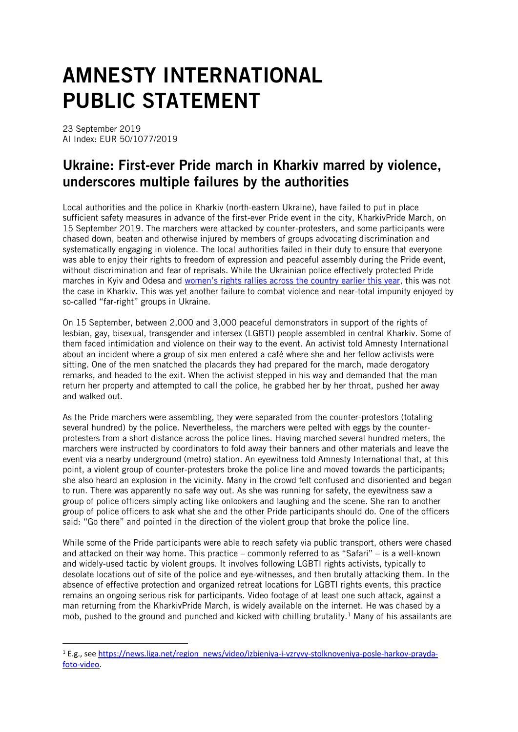## AMNESTY INTERNATIONAL PUBLIC STATEMENT

23 September 2019 AI Index: EUR 50/1077/2019

1

## Ukraine: First-ever Pride march in Kharkiv marred by violence, underscores multiple failures by the authorities

Local authorities and the police in Kharkiv (north-eastern Ukraine), have failed to put in place sufficient safety measures in advance of the first-ever Pride event in the city, KharkivPride March, on 15 September 2019. The marchers were attacked by counter-protesters, and some participants were chased down, beaten and otherwise injured by members of groups advocating discrimination and systematically engaging in violence. The local authorities failed in their duty to ensure that everyone was able to enjoy their rights to freedom of expression and peaceful assembly during the Pride event, without discrimination and fear of reprisals. While the Ukrainian police effectively protected Pride marches in Kyiv and Odesa and women's rig[hts rallies across the country earlier this year,](https://www.amnesty.org/en/documents/eur50/0159/2019/en/) this was not the case in Kharkiv. This was yet another failure to combat violence and near-total impunity enjoyed by so-called "far-right" groups in Ukraine.

On 15 September, between 2,000 and 3,000 peaceful demonstrators in support of the rights of lesbian, gay, bisexual, transgender and intersex (LGBTI) people assembled in central Kharkiv. Some of them faced intimidation and violence on their way to the event. An activist told Amnesty International about an incident where a group of six men entered a café where she and her fellow activists were sitting. One of the men snatched the placards they had prepared for the march, made derogatory remarks, and headed to the exit. When the activist stepped in his way and demanded that the man return her property and attempted to call the police, he grabbed her by her throat, pushed her away and walked out.

As the Pride marchers were assembling, they were separated from the counter-protestors (totaling several hundred) by the police. Nevertheless, the marchers were pelted with eggs by the counterprotesters from a short distance across the police lines. Having marched several hundred meters, the marchers were instructed by coordinators to fold away their banners and other materials and leave the event via a nearby underground (metro) station. An eyewitness told Amnesty International that, at this point, a violent group of counter-protesters broke the police line and moved towards the participants; she also heard an explosion in the vicinity. Many in the crowd felt confused and disoriented and began to run. There was apparently no safe way out. As she was running for safety, the eyewitness saw a group of police officers simply acting like onlookers and laughing and the scene. She ran to another group of police officers to ask what she and the other Pride participants should do. One of the officers said: "Go there" and pointed in the direction of the violent group that broke the police line.

While some of the Pride participants were able to reach safety via public transport, others were chased and attacked on their way home. This practice – commonly referred to as "Safari" – is a well-known and widely-used tactic by violent groups. It involves following LGBTI rights activists, typically to desolate locations out of site of the police and eye-witnesses, and then brutally attacking them. In the absence of effective protection and organized retreat locations for LGBTI rights events, this practice remains an ongoing serious risk for participants. Video footage of at least one such attack, against a man returning from the KharkivPride March, is widely available on the internet. He was chased by a mob, pushed to the ground and punched and kicked with chilling brutality.<sup>1</sup> Many of his assailants are

<sup>1</sup> E.g., see [https://news.liga.net/region\\_news/video/izbieniya-i-vzryvy-stolknoveniya-posle-harkov-prayda](https://news.liga.net/region_news/video/izbieniya-i-vzryvy-stolknoveniya-posle-harkov-prayda-foto-video)[foto-video.](https://news.liga.net/region_news/video/izbieniya-i-vzryvy-stolknoveniya-posle-harkov-prayda-foto-video)